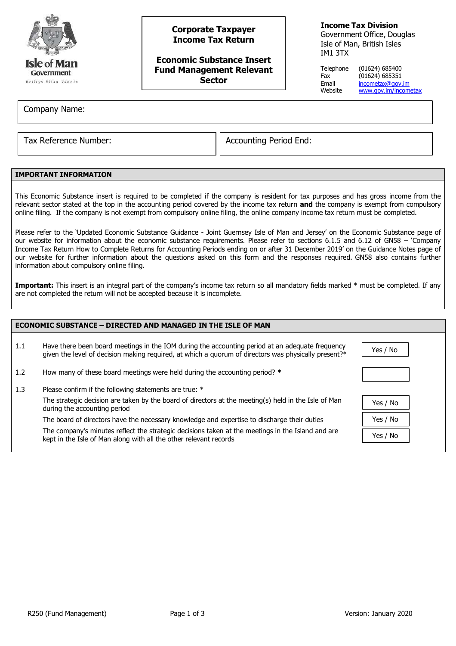

# **Corporate Taxpayer Income Tax Return**

## **Economic Substance Insert Fund Management Relevant Sector**

## **Income Tax Division**

Government Office, Douglas Isle of Man, British Isles IM1 3TX

Telephone (01624) 685400 Fax (01624) 685351 Email [incometax@gov.im](mailto:incometax@gov.im)<br>Website www.gov.im/incom [www.gov.im/incometax](http://www.gov.im/incometax)

Company Name:

Tax Reference Number:  $\vert$  Accounting Period End:

## **IMPORTANT INFORMATION**

This Economic Substance insert is required to be completed if the company is resident for tax purposes and has gross income from the relevant sector stated at the top in the accounting period covered by the income tax return **and** the company is exempt from compulsory online filing. If the company is not exempt from compulsory online filing, the online company income tax return must be completed.

Please refer to the 'Updated Economic Substance Guidance - Joint Guernsey Isle of Man and Jersey' on the Economic Substance page of our website for information about the economic substance requirements. Please refer to sections 6.1.5 and 6.12 of GN58 – 'Company Income Tax Return How to Complete Returns for Accounting Periods ending on or after 31 December 2019' on the Guidance Notes page of our website for further information about the questions asked on this form and the responses required. GN58 also contains further information about compulsory online filing.

Important: This insert is an integral part of the company's income tax return so all mandatory fields marked \* must be completed. If any are not completed the return will not be accepted because it is incomplete.

| <b>ECONOMIC SUBSTANCE - DIRECTED AND MANAGED IN THE ISLE OF MAN</b> |                                                                                                                                                                                                         |          |  |  |
|---------------------------------------------------------------------|---------------------------------------------------------------------------------------------------------------------------------------------------------------------------------------------------------|----------|--|--|
| 1.1                                                                 | Have there been board meetings in the IOM during the accounting period at an adequate frequency<br>given the level of decision making required, at which a quorum of directors was physically present?* | Yes / No |  |  |
| 1.2                                                                 | How many of these board meetings were held during the accounting period? *                                                                                                                              |          |  |  |
| 1.3                                                                 | Please confirm if the following statements are true: *                                                                                                                                                  |          |  |  |
|                                                                     | The strategic decision are taken by the board of directors at the meeting(s) held in the Isle of Man<br>during the accounting period                                                                    | Yes / No |  |  |
|                                                                     | The board of directors have the necessary knowledge and expertise to discharge their duties                                                                                                             | Yes / No |  |  |
|                                                                     | The company's minutes reflect the strategic decisions taken at the meetings in the Island and are<br>kept in the Isle of Man along with all the other relevant records                                  | Yes / No |  |  |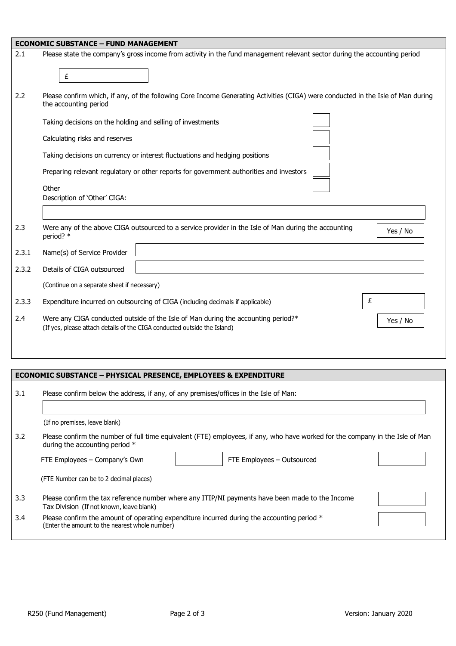|       | <b>ECONOMIC SUBSTANCE - FUND MANAGEMENT</b>                                                                                                                               |
|-------|---------------------------------------------------------------------------------------------------------------------------------------------------------------------------|
| 2.1   | Please state the company's gross income from activity in the fund management relevant sector during the accounting period<br>£                                            |
| 2.2   | Please confirm which, if any, of the following Core Income Generating Activities (CIGA) were conducted in the Isle of Man during<br>the accounting period                 |
|       | Taking decisions on the holding and selling of investments                                                                                                                |
|       | Calculating risks and reserves                                                                                                                                            |
|       | Taking decisions on currency or interest fluctuations and hedging positions                                                                                               |
|       | Preparing relevant regulatory or other reports for government authorities and investors                                                                                   |
|       | Other                                                                                                                                                                     |
|       | Description of 'Other' CIGA:                                                                                                                                              |
|       |                                                                                                                                                                           |
| 2.3   | Were any of the above CIGA outsourced to a service provider in the Isle of Man during the accounting<br>Yes / No<br>period? *                                             |
| 2.3.1 | Name(s) of Service Provider                                                                                                                                               |
| 2.3.2 | Details of CIGA outsourced                                                                                                                                                |
|       | (Continue on a separate sheet if necessary)                                                                                                                               |
| 2.3.3 | £<br>Expenditure incurred on outsourcing of CIGA (including decimals if applicable)                                                                                       |
| 2.4   | Were any CIGA conducted outside of the Isle of Man during the accounting period?*<br>Yes / No<br>(If yes, please attach details of the CIGA conducted outside the Island) |
|       |                                                                                                                                                                           |

| <b>ECONOMIC SUBSTANCE - PHYSICAL PRESENCE, EMPLOYEES &amp; EXPENDITURE</b> |                                                                                                                                                                                                                                  |  |  |  |
|----------------------------------------------------------------------------|----------------------------------------------------------------------------------------------------------------------------------------------------------------------------------------------------------------------------------|--|--|--|
| 3.1                                                                        | Please confirm below the address, if any, of any premises/offices in the Isle of Man:                                                                                                                                            |  |  |  |
|                                                                            | (If no premises, leave blank)                                                                                                                                                                                                    |  |  |  |
| 3.2                                                                        | Please confirm the number of full time equivalent (FTE) employees, if any, who have worked for the company in the Isle of Man<br>during the accounting period $*$<br>FTE Employees - Outsourced<br>FTE Employees – Company's Own |  |  |  |
|                                                                            | (FTE Number can be to 2 decimal places)                                                                                                                                                                                          |  |  |  |
| 3.3                                                                        | Please confirm the tax reference number where any ITIP/NI payments have been made to the Income<br>Tax Division (If not known, leave blank)                                                                                      |  |  |  |
| 3.4                                                                        | Please confirm the amount of operating expenditure incurred during the accounting period *<br>(Enter the amount to the nearest whole number)                                                                                     |  |  |  |